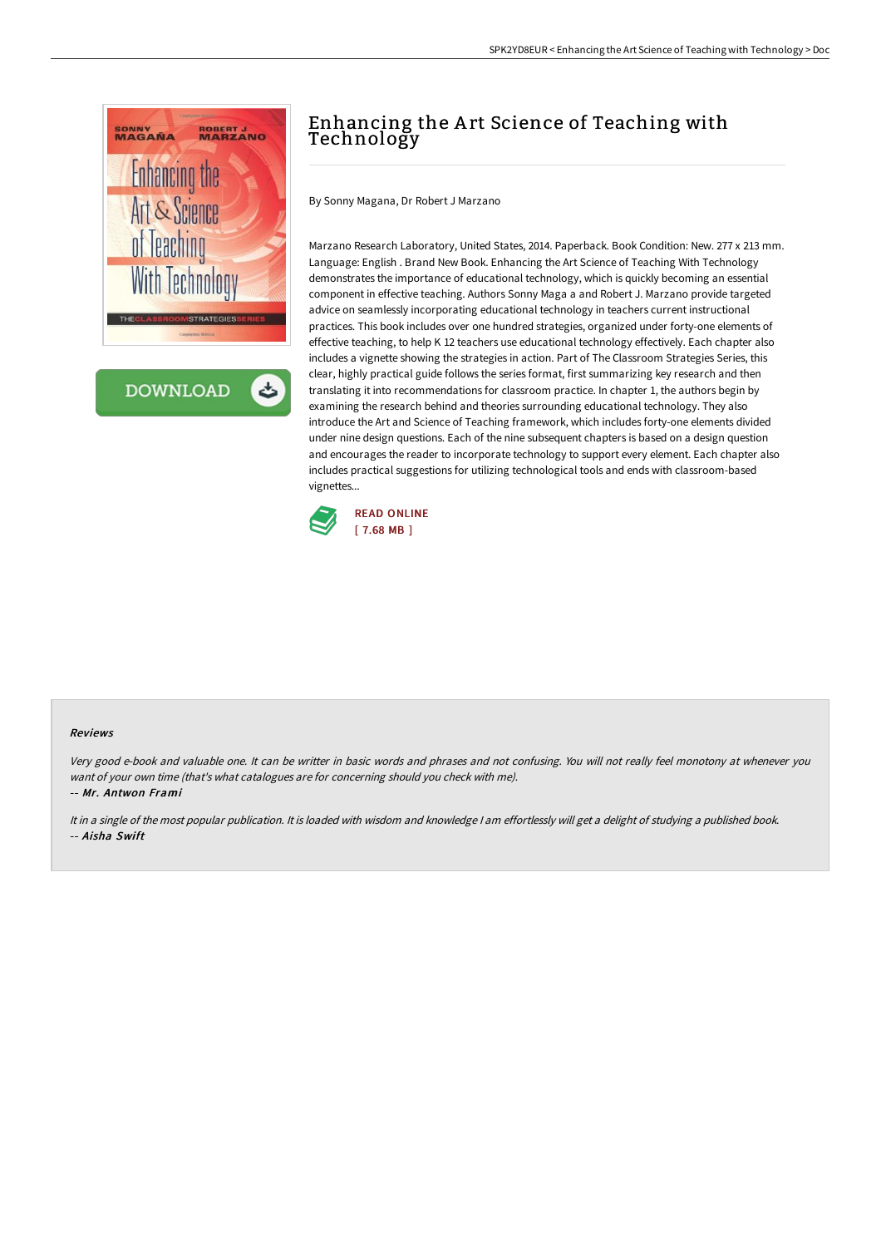

**DOWNLOAD** 

# Enhancing the Art Science of Teaching with Technology

By Sonny Magana, Dr Robert J Marzano

Marzano Research Laboratory, United States, 2014. Paperback. Book Condition: New. 277 x 213 mm. Language: English . Brand New Book. Enhancing the Art Science of Teaching With Technology demonstrates the importance of educational technology, which is quickly becoming an essential component in effective teaching. Authors Sonny Maga a and Robert J. Marzano provide targeted advice on seamlessly incorporating educational technology in teachers current instructional practices. This book includes over one hundred strategies, organized under forty-one elements of effective teaching, to help K 12 teachers use educational technology effectively. Each chapter also includes a vignette showing the strategies in action. Part of The Classroom Strategies Series, this clear, highly practical guide follows the series format, first summarizing key research and then translating it into recommendations for classroom practice. In chapter 1, the authors begin by examining the research behind and theories surrounding educational technology. They also introduce the Art and Science of Teaching framework, which includes forty-one elements divided under nine design questions. Each of the nine subsequent chapters is based on a design question and encourages the reader to incorporate technology to support every element. Each chapter also includes practical suggestions for utilizing technological tools and ends with classroom-based vignettes...



#### Reviews

Very good e-book and valuable one. It can be writter in basic words and phrases and not confusing. You will not really feel monotony at whenever you want of your own time (that's what catalogues are for concerning should you check with me).

-- Mr. Antwon Frami

It in <sup>a</sup> single of the most popular publication. It is loaded with wisdom and knowledge <sup>I</sup> am effortlessly will get <sup>a</sup> delight of studying <sup>a</sup> published book. -- Aisha Swift